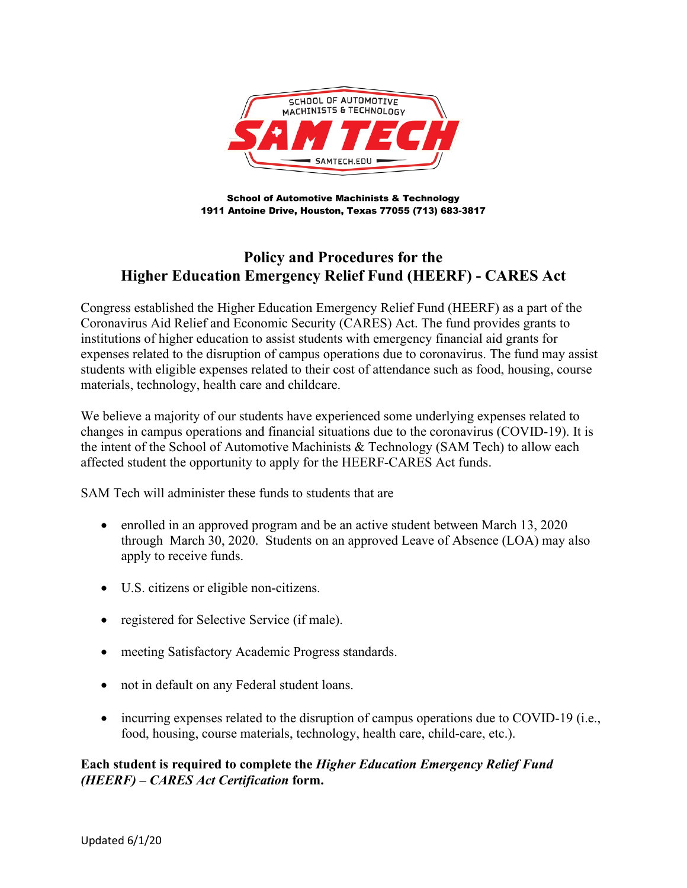

School of Automotive Machinists & Technology 1911 Antoine Drive, Houston, Texas 77055 (713) 683-3817

## **Policy and Procedures for the Higher Education Emergency Relief Fund (HEERF) - CARES Act**

Congress established the Higher Education Emergency Relief Fund (HEERF) as a part of the Coronavirus Aid Relief and Economic Security (CARES) Act. The fund provides grants to institutions of higher education to assist students with emergency financial aid grants for expenses related to the disruption of campus operations due to coronavirus. The fund may assist students with eligible expenses related to their cost of attendance such as food, housing, course materials, technology, health care and childcare.

We believe a majority of our students have experienced some underlying expenses related to changes in campus operations and financial situations due to the coronavirus (COVID-19). It is the intent of the School of Automotive Machinists & Technology (SAM Tech) to allow each affected student the opportunity to apply for the HEERF-CARES Act funds.

SAM Tech will administer these funds to students that are

- enrolled in an approved program and be an active student between March 13, 2020 through March 30, 2020. Students on an approved Leave of Absence (LOA) may also apply to receive funds.
- U.S. citizens or eligible non-citizens.
- registered for Selective Service (if male).
- meeting Satisfactory Academic Progress standards.
- not in default on any Federal student loans.
- incurring expenses related to the disruption of campus operations due to COVID-19 (i.e., food, housing, course materials, technology, health care, child-care, etc.).

## **Each student is required to complete the** *Higher Education Emergency Relief Fund (HEERF) – CARES Act Certification* **form.**